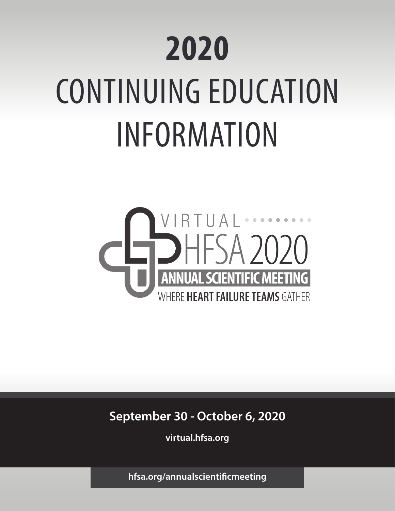# **2020**  CONTINUING EDUCATION INFORMATION



**September 30 - October 6, 2020**

**virtual.hfsa.org**

**hfsa.org/annualscientificmeeting**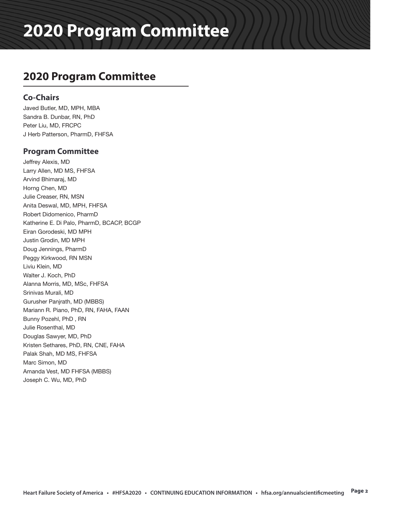### **2020 Program Committee**

### **Co-Chairs**

Javed Butler, MD, MPH, MBA Sandra B. Dunbar, RN, PhD Peter Liu, MD, FRCPC J Herb Patterson, PharmD, FHFSA

### **Program Committee**

Jeffrey Alexis, MD Larry Allen, MD MS, FHFSA Arvind Bhimaraj, MD Horng Chen, MD Julie Creaser, RN, MSN Anita Deswal, MD, MPH, FHFSA Robert Didomenico, PharmD Katherine E. Di Palo, PharmD, BCACP, BCGP Eiran Gorodeski, MD MPH Justin Grodin, MD MPH Doug Jennings, PharmD Peggy Kirkwood, RN MSN Liviu Klein, MD Walter J. Koch, PhD Alanna Morris, MD, MSc, FHFSA Srinivas Murali, MD Gurusher Panjrath, MD (MBBS) Mariann R. Piano, PhD, RN, FAHA, FAAN Bunny Pozehl, PhD , RN Julie Rosenthal, MD Douglas Sawyer, MD, PhD Kristen Sethares, PhD, RN, CNE, FAHA Palak Shah, MD MS, FHFSA Marc Simon, MD Amanda Vest, MD FHFSA (MBBS) Joseph C. Wu, MD, PhD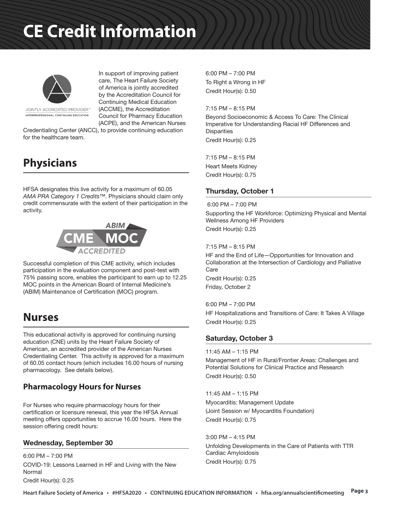

In support of improving patient care, The Heart Failure Society of America is jointly accredited by the Accreditation Council for Continuing Medical Education (ACCME), the Accreditation Council for Pharmacy Education (ACPE), and the American Nurses

JOINTLY ACCREDITED PROVIDER" INTERPROFESSIONAL CONTINUING EDUCATION

Credentialing Center (ANCC), to provide continuing education for the healthcare team.

### **Physicians**

HFSA designates this live activity for a maximum of 60.05 *AMA PRA Category 1 Credits™.* Physicians should claim only credit commensurate with the extent of their participation in the activity.



Successful completion of this CME activity, which includes participation in the evaluation component and post-test with 75% passing score, enables the participant to earn up to 12.25 MOC points in the American Board of Internal Medicine's (ABIM) Maintenance of Certification (MOC) program.

### **Nurses**

This educational activity is approved for continuing nursing education (CNE) units by the Heart Failure Society of American, an accredited provider of the American Nurses Credentialing Center. This activity is approved for a maximum of 60.05 contact hours (which includes 16.00 hours of nursing pharmacology. See details below).

### **Pharmacology Hours for Nurses**

For Nurses who require pharmacology hours for their certification or licensure renewal, this year the HFSA Annual meeting offers opportunities to accrue 16.00 hours. Here the session offering credit hours:

### Wednesday, September 30

6:00 PM – 7:00 PM COVID-19: Lessons Learned in HF and Living with the New Normal Credit Hour(s): 0.25

6:00 PM – 7:00 PM To Right a Wrong in HF Credit Hour(s): 0.50

7:15 PM – 8:15 PM

Beyond Socioeconomic & Access To Care: The Clinical Imperative for Understanding Racial HF Differences and **Disparities** Credit Hour(s): 0.25

7:15 PM – 8:15 PM Heart Meets Kidney Credit Hour(s): 0.75

#### Thursday, October 1

6:00 PM – 7:00 PM

Supporting the HF Workforce: Optimizing Physical and Mental Wellness Among HF Providers Credit Hour(s): 0.25

7:15 PM – 8:15 PM

HF and the End of Life—Opportunities for Innovation and Collaboration at the Intersection of Cardiology and Palliative **Care** Credit Hour(s): 0.25

Friday, October 2

6:00 PM – 7:00 PM

HF Hospitalizations and Transitions of Care: It Takes A Village Credit Hour(s): 0.25

### Saturday, October 3

#### 11:45 AM – 1:15 PM

Management of HF in Rural/Frontier Areas: Challenges and Potential Solutions for Clinical Practice and Research Credit Hour(s): 0.50

11:45 AM – 1:15 PM Myocarditis: Management Update (Joint Session w/ Myocarditis Foundation) Credit Hour(s): 0.75

3:00 PM – 4:15 PM Unfolding Developments in the Care of Patients with TTR Cardiac Amyloidosis Credit Hour(s): 0.75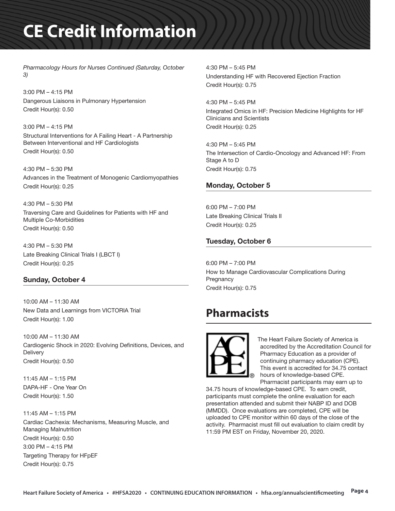*Pharmacology Hours for Nurses Continued (Saturday, October 3)*

3:00 PM – 4:15 PM Dangerous Liaisons in Pulmonary Hypertension Credit Hour(s): 0.50

3:00 PM – 4:15 PM Structural Interventions for A Failing Heart - A Partnership Between Interventional and HF Cardiologists Credit Hour(s): 0.50

4:30 PM – 5:30 PM Advances in the Treatment of Monogenic Cardiomyopathies Credit Hour(s): 0.25

4:30 PM – 5:30 PM Traversing Care and Guidelines for Patients with HF and Multiple Co-Morbidities Credit Hour(s): 0.50

4:30 PM – 5:30 PM Late Breaking Clinical Trials I (LBCT I) Credit Hour(s): 0.25

#### Sunday, October 4

10:00 AM – 11:30 AM New Data and Learnings from VICTORIA Trial Credit Hour(s): 1.00

10:00 AM – 11:30 AM Cardiogenic Shock in 2020: Evolving Definitions, Devices, and **Delivery** Credit Hour(s): 0.50

11:45 AM – 1:15 PM DAPA-HF - One Year On Credit Hour(s): 1.50

11:45 AM – 1:15 PM Cardiac Cachexia: Mechanisms, Measuring Muscle, and Managing Malnutrition Credit Hour(s): 0.50 3:00 PM – 4:15 PM Targeting Therapy for HFpEF Credit Hour(s): 0.75

4:30 PM – 5:45 PM Understanding HF with Recovered Ejection Fraction Credit Hour(s): 0.75

4:30 PM – 5:45 PM Integrated Omics in HF: Precision Medicine Highlights for HF Clinicians and Scientists Credit Hour(s): 0.25

4:30 PM – 5:45 PM The Intersection of Cardio-Oncology and Advanced HF: From Stage A to D Credit Hour(s): 0.75

#### Monday, October 5

6:00 PM – 7:00 PM Late Breaking Clinical Trials II Credit Hour(s): 0.25

### Tuesday, October 6

6:00 PM – 7:00 PM How to Manage Cardiovascular Complications During **Pregnancy** Credit Hour(s): 0.75

### **Pharmacists**



 The Heart Failure Society of America is accredited by the Accreditation Council for Pharmacy Education as a provider of continuing pharmacy education (CPE). This event is accredited for 34.75 contact hours of knowledge-based CPE. Pharmacist participants may earn up to

34.75 hours of knowledge-based CPE. To earn credit, participants must complete the online evaluation for each presentation attended and submit their NABP ID and DOB (MMDD). Once evaluations are completed, CPE will be uploaded to CPE monitor within 60 days of the close of the activity. Pharmacist must fill out evaluation to claim credit by 11:59 PM EST on Friday, November 20, 2020.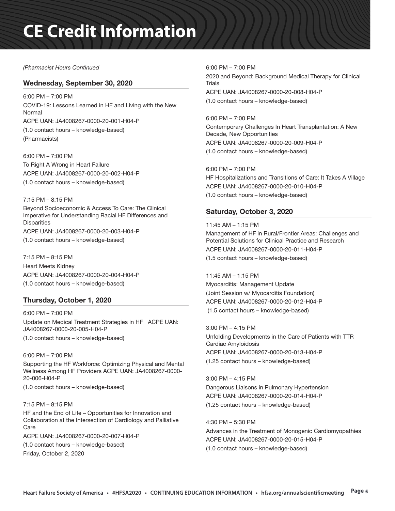#### *(Pharmacist Hours Continued*

#### Wednesday, September 30, 2020

6:00 PM – 7:00 PM COVID-19: Lessons Learned in HF and Living with the New Normal ACPE UAN: JA4008267-0000-20-001-H04-P (1.0 contact hours – knowledge-based) (Pharmacists)

6:00 PM – 7:00 PM To Right A Wrong in Heart Failure ACPE UAN: JA4008267-0000-20-002-H04-P (1.0 contact hours – knowledge-based)

#### 7:15 PM – 8:15 PM Beyond Socioeconomic & Access To Care: The Clinical Imperative for Understanding Racial HF Differences and **Disparities**

ACPE UAN: JA4008267-0000-20-003-H04-P (1.0 contact hours – knowledge-based)

7:15 PM – 8:15 PM Heart Meets Kidney ACPE UAN: JA4008267-0000-20-004-H04-P (1.0 contact hours – knowledge-based)

### Thursday, October 1, 2020

6:00 PM – 7:00 PM Update on Medical Treatment Strategies in HF ACPE UAN: JA4008267-0000-20-005-H04-P

(1.0 contact hours – knowledge-based)

6:00 PM – 7:00 PM Supporting the HF Workforce: Optimizing Physical and Mental Wellness Among HF Providers ACPE UAN: JA4008267-0000- 20-006-H04-P

(1.0 contact hours – knowledge-based)

#### 7:15 PM – 8:15 PM

HF and the End of Life – Opportunities for Innovation and Collaboration at the Intersection of Cardiology and Palliative Care

ACPE UAN: JA4008267-0000-20-007-H04-P

(1.0 contact hours – knowledge-based) Friday, October 2, 2020

6:00 PM – 7:00 PM 2020 and Beyond: Background Medical Therapy for Clinical Trials ACPE UAN: JA4008267-0000-20-008-H04-P (1.0 contact hours – knowledge-based)

6:00 PM – 7:00 PM Contemporary Challenges In Heart Transplantation: A New Decade, New Opportunities ACPE UAN: JA4008267-0000-20-009-H04-P (1.0 contact hours – knowledge-based)

6:00 PM – 7:00 PM HF Hospitalizations and Transitions of Care: It Takes A Village ACPE UAN: JA4008267-0000-20-010-H04-P (1.0 contact hours – knowledge-based)

### Saturday, October 3, 2020

11:45 AM – 1:15 PM Management of HF in Rural/Frontier Areas: Challenges and Potential Solutions for Clinical Practice and Research ACPE UAN: JA4008267-0000-20-011-H04-P (1.5 contact hours – knowledge-based)

11:45 AM – 1:15 PM Myocarditis: Management Update (Joint Session w/ Myocarditis Foundation) ACPE UAN: JA4008267-0000-20-012-H04-P (1.5 contact hours – knowledge-based)

3:00 PM – 4:15 PM Unfolding Developments in the Care of Patients with TTR Cardiac Amyloidosis ACPE UAN: JA4008267-0000-20-013-H04-P (1.25 contact hours – knowledge-based)

3:00 PM – 4:15 PM Dangerous Liaisons in Pulmonary Hypertension ACPE UAN: JA4008267-0000-20-014-H04-P (1.25 contact hours – knowledge-based)

4:30 PM – 5:30 PM Advances in the Treatment of Monogenic Cardiomyopathies ACPE UAN: JA4008267-0000-20-015-H04-P (1.0 contact hours – knowledge-based)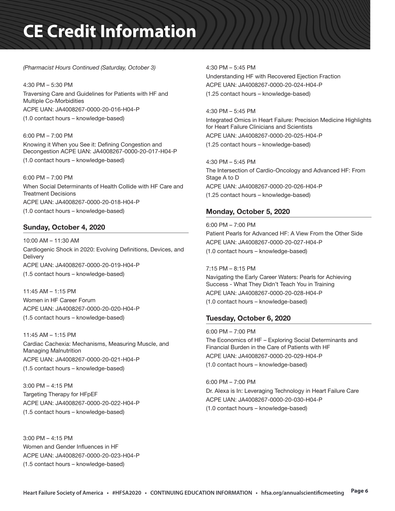*(Pharmacist Hours Continued (Saturday, October 3)*

4:30 PM – 5:30 PM Traversing Care and Guidelines for Patients with HF and Multiple Co-Morbidities ACPE UAN: JA4008267-0000-20-016-H04-P (1.0 contact hours – knowledge-based)

6:00 PM – 7:00 PM Knowing it When you See it: Defining Congestion and Decongestion ACPE UAN: JA4008267-0000-20-017-H04-P (1.0 contact hours – knowledge-based)

6:00 PM – 7:00 PM When Social Determinants of Health Collide with HF Care and Treatment Decisions ACPE UAN: JA4008267-0000-20-018-H04-P (1.0 contact hours – knowledge-based)

### Sunday, October 4, 2020

10:00 AM – 11:30 AM Cardiogenic Shock in 2020: Evolving Definitions, Devices, and **Delivery** ACPE UAN: JA4008267-0000-20-019-H04-P (1.5 contact hours – knowledge-based)

11:45 AM – 1:15 PM Women in HF Career Forum ACPE UAN: JA4008267-0000-20-020-H04-P (1.5 contact hours – knowledge-based)

11:45 AM – 1:15 PM Cardiac Cachexia: Mechanisms, Measuring Muscle, and Managing Malnutrition ACPE UAN: JA4008267-0000-20-021-H04-P (1.5 contact hours – knowledge-based)

3:00 PM – 4:15 PM Targeting Therapy for HFpEF ACPE UAN: JA4008267-0000-20-022-H04-P (1.5 contact hours – knowledge-based)

3:00 PM – 4:15 PM Women and Gender Influences in HF ACPE UAN: JA4008267-0000-20-023-H04-P (1.5 contact hours – knowledge-based)

4:30 PM – 5:45 PM Understanding HF with Recovered Ejection Fraction ACPE UAN: JA4008267-0000-20-024-H04-P (1.25 contact hours – knowledge-based)

4:30 PM – 5:45 PM Integrated Omics in Heart Failure: Precision Medicine Highlights for Heart Failure Clinicians and Scientists ACPE UAN: JA4008267-0000-20-025-H04-P (1.25 contact hours – knowledge-based)

4:30 PM – 5:45 PM The Intersection of Cardio-Oncology and Advanced HF: From Stage A to D ACPE UAN: JA4008267-0000-20-026-H04-P (1.25 contact hours – knowledge-based)

### Monday, October 5, 2020

6:00 PM – 7:00 PM Patient Pearls for Advanced HF: A View From the Other Side ACPE UAN: JA4008267-0000-20-027-H04-P (1.0 contact hours – knowledge-based)

7:15 PM – 8:15 PM Navigating the Early Career Waters: Pearls for Achieving Success - What They Didn't Teach You in Training ACPE UAN: JA4008267-0000-20-028-H04-P (1.0 contact hours – knowledge-based)

### Tuesday, October 6, 2020

6:00 PM – 7:00 PM The Economics of HF – Exploring Social Determinants and Financial Burden in the Care of Patients with HF ACPE UAN: JA4008267-0000-20-029-H04-P (1.0 contact hours – knowledge-based)

6:00 PM – 7:00 PM Dr. Alexa is In: Leveraging Technology in Heart Failure Care ACPE UAN: JA4008267-0000-20-030-H04-P (1.0 contact hours – knowledge-based)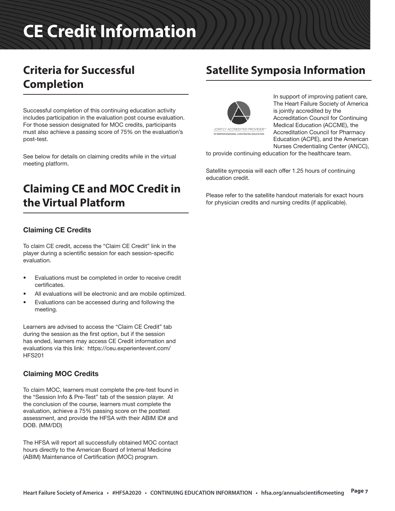### **Criteria for Successful Completion**

Successful completion of this continuing education activity includes participation in the evaluation post course evaluation. For those session designated for MOC credits, participants must also achieve a passing score of 75% on the evaluation's post-test.

See below for details on claiming credits while in the virtual meeting platform.

### **Claiming CE and MOC Credit in the Virtual Platform**

### Claiming CE Credits

To claim CE credit, access the "Claim CE Credit" link in the player during a scientific session for each session-specific evaluation.

- Evaluations must be completed in order to receive credit certificates.
- All evaluations will be electronic and are mobile optimized.
- Evaluations can be accessed during and following the meeting.

Learners are advised to access the "Claim CE Credit" tab during the session as the first option, but if the session has ended, learners may access CE Credit information and evaluations via this link: https://ceu.experientevent.com/ HFS201

### Claiming MOC Credits

To claim MOC, learners must complete the pre-test found in the "Session Info & Pre-Test" tab of the session player. At the conclusion of the course, learners must complete the evaluation, achieve a 75% passing score on the posttest assessment, and provide the HFSA with their ABIM ID# and DOB. (MM/DD)

The HFSA will report all successfully obtained MOC contact hours directly to the American Board of Internal Medicine (ABIM) Maintenance of Certification (MOC) program.

### **Satellite Symposia Information**



In support of improving patient care, The Heart Failure Society of America is jointly accredited by the Accreditation Council for Continuing Medical Education (ACCME), the Accreditation Council for Pharmacy Education (ACPE), and the American Nurses Credentialing Center (ANCC),

to provide continuing education for the healthcare team.

Satellite symposia will each offer 1.25 hours of continuing education credit.

Please refer to the satellite handout materials for exact hours for physician credits and nursing credits (if applicable).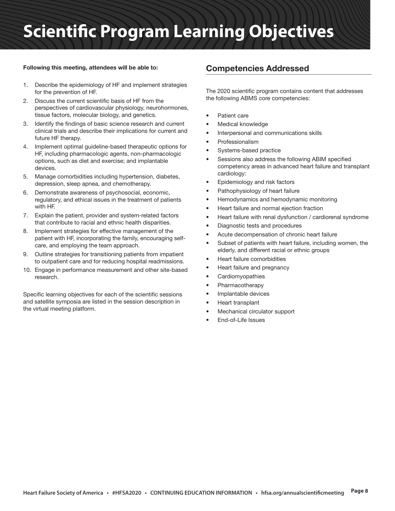# **Scientific Program Learning Objectives**

#### Following this meeting, attendees will be able to:

- 1. Describe the epidemiology of HF and implement strategies for the prevention of HF.
- 2. Discuss the current scientific basis of HF from the perspectives of cardiovascular physiology, neurohormones, tissue factors, molecular biology, and genetics.
- 3. Identify the findings of basic science research and current clinical trials and describe their implications for current and future HF therapy.
- 4. Implement optimal guideline-based therapeutic options for HF, including pharmacologic agents, non-pharmacologic options, such as diet and exercise; and implantable devices.
- 5. Manage comorbidities including hypertension, diabetes, depression, sleep apnea, and chemotherapy.
- 6. Demonstrate awareness of psychosocial, economic, regulatory, and ethical issues in the treatment of patients with HF.
- 7. Explain the patient, provider and system-related factors that contribute to racial and ethnic health disparities.
- 8. Implement strategies for effective management of the patient with HF, incorporating the family, encouraging selfcare, and employing the team approach.
- 9. Outline strategies for transitioning patients from impatient to outpatient care and for reducing hospital readmissions.
- 10. Engage in performance measurement and other site-based research.

Specific learning objectives for each of the scientific sessions and satellite symposia are listed in the session description in the virtual meeting platform.

### Competencies Addressed

The 2020 scientific program contains content that addresses the following ABMS core competencies:

- Patient care
- Medical knowledge
- Interpersonal and communications skills
- **Professionalism**
- Systems-based practice
- Sessions also address the following ABIM specified competency areas in advanced heart failure and transplant cardiology:
- Epidemiology and risk factors
- Pathophysiology of heart failure
- Hemodynamics and hemodynamic monitoring
- Heart failure and normal ejection fraction
- Heart failure with renal dysfunction / cardiorenal syndrome
- Diagnostic tests and procedures
- Acute decompensation of chronic heart failure
- Subset of patients with heart failure, including women, the elderly, and different racial or ethnic groups
- Heart failure comorbidities
- Heart failure and pregnancy
- **Cardiomyopathies**
- Pharmacotherapy
- Implantable devices
- Heart transplant
- Mechanical circulator support
- End-of-Life Issues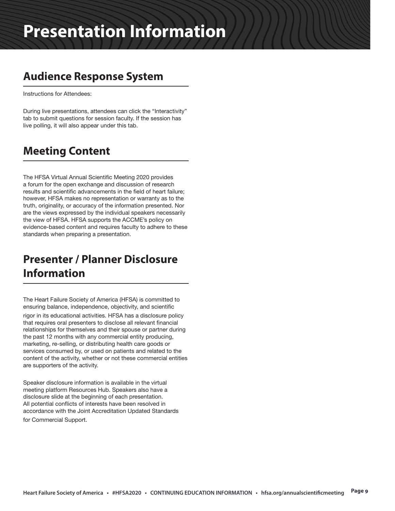### **Audience Response System**

Instructions for Attendees:

During live presentations, attendees can click the "Interactivity" tab to submit questions for session faculty. If the session has live polling, it will also appear under this tab.

### **Meeting Content**

The HFSA Virtual Annual Scientific Meeting 2020 provides a forum for the open exchange and discussion of research results and scientific advancements in the field of heart failure; however, HFSA makes no representation or warranty as to the truth, originality, or accuracy of the information presented. Nor are the views expressed by the individual speakers necessarily the view of HFSA. HFSA supports the ACCME's policy on evidence-based content and requires faculty to adhere to these standards when preparing a presentation.

### **Presenter / Planner Disclosure Information**

The Heart Failure Society of America (HFSA) is committed to ensuring balance, independence, objectivity, and scientific

rigor in its educational activities. HFSA has a disclosure policy that requires oral presenters to disclose all relevant financial relationships for themselves and their spouse or partner during the past 12 months with any commercial entity producing, marketing, re-selling, or distributing health care goods or services consumed by, or used on patients and related to the content of the activity, whether or not these commercial entities are supporters of the activity.

Speaker disclosure information is available in the virtual meeting platform Resources Hub. Speakers also have a disclosure slide at the beginning of each presentation. All potential conflicts of interests have been resolved in accordance with the Joint Accreditation Updated Standards for Commercial Support.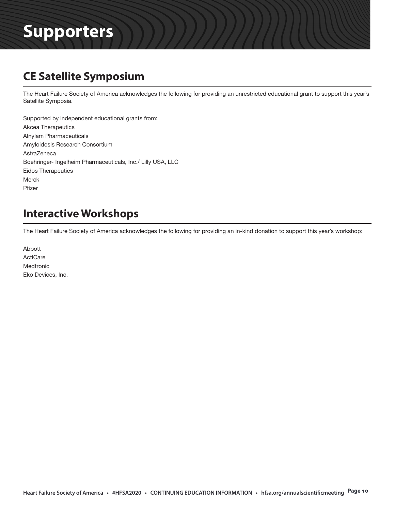### **CE Satellite Symposium**

The Heart Failure Society of America acknowledges the following for providing an unrestricted educational grant to support this year's Satellite Symposia.

Supported by independent educational grants from: Akcea Therapeutics Alnylam Pharmaceuticals Amyloidosis Research Consortium AstraZeneca Boehringer- Ingelheim Pharmaceuticals, Inc./ Lilly USA, LLC Eidos Therapeutics Merck Pfizer

### **Interactive Workshops**

The Heart Failure Society of America acknowledges the following for providing an in-kind donation to support this year's workshop:

Abbott **ActiCare** Medtronic Eko Devices, Inc.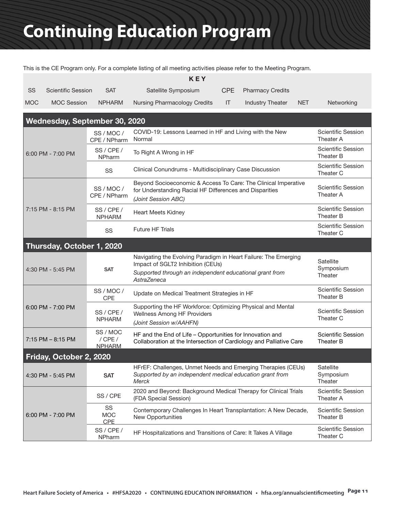This is the CE Program only. For a complete listing of all meeting activities please refer to the Meeting Program.

| KEY        |                    |               |                              |     |                         |            |            |
|------------|--------------------|---------------|------------------------------|-----|-------------------------|------------|------------|
| SS         | Scientific Session | <b>SAT</b>    | Satellite Symposium          |     | CPE Pharmacy Credits    |            |            |
| <b>MOC</b> | <b>MOC Session</b> | <b>NPHARM</b> | Nursing Pharmacology Credits | -IT | <b>Industry Theater</b> | <b>NET</b> | Networking |

| Wednesday, September 30, 2020 |                                          |                                                                                                                                                                                |                                               |  |  |  |  |
|-------------------------------|------------------------------------------|--------------------------------------------------------------------------------------------------------------------------------------------------------------------------------|-----------------------------------------------|--|--|--|--|
|                               | SS/MOC/<br>CPE / NPharm                  | COVID-19: Lessons Learned in HF and Living with the New<br>Normal                                                                                                              | <b>Scientific Session</b><br>Theater A        |  |  |  |  |
| 6:00 PM - 7:00 PM             | SS / CPE /<br><b>NPharm</b>              | To Right A Wrong in HF                                                                                                                                                         | <b>Scientific Session</b><br><b>Theater B</b> |  |  |  |  |
|                               | SS                                       | Clinical Conundrums - Multidisciplinary Case Discussion                                                                                                                        | <b>Scientific Session</b><br>Theater C        |  |  |  |  |
|                               | SS/MOC/<br>CPE / NPharm                  | Beyond Socioeconomic & Access To Care: The Clinical Imperative<br>for Understanding Racial HF Differences and Disparities<br>(Joint Session ABC)                               | <b>Scientific Session</b><br>Theater A        |  |  |  |  |
| 7:15 PM - 8:15 PM             | SS / CPE /<br><b>NPHARM</b>              | <b>Heart Meets Kidney</b>                                                                                                                                                      | <b>Scientific Session</b><br>Theater B        |  |  |  |  |
|                               | SS                                       | <b>Future HF Trials</b>                                                                                                                                                        | <b>Scientific Session</b><br>Theater C        |  |  |  |  |
| Thursday, October 1, 2020     |                                          |                                                                                                                                                                                |                                               |  |  |  |  |
| 4:30 PM - 5:45 PM             | <b>SAT</b>                               | Navigating the Evolving Paradigm in Heart Failure: The Emerging<br>Impact of SGLT2 Inhibition (CEUs)<br>Supported through an independent educational grant from<br>AstraZeneca | Satellite<br>Symposium<br>Theater             |  |  |  |  |
|                               | SS/MOC/<br><b>CPE</b>                    | Update on Medical Treatment Strategies in HF                                                                                                                                   | <b>Scientific Session</b><br><b>Theater B</b> |  |  |  |  |
| 6:00 PM - 7:00 PM             | SS / CPE /<br><b>NPHARM</b>              | Supporting the HF Workforce: Optimizing Physical and Mental<br>Wellness Among HF Providers<br>(Joint Session w/AAHFN)                                                          | <b>Scientific Session</b><br>Theater C        |  |  |  |  |
| $7:15$ PM $-$ 8:15 PM         | SS / MOC<br>$/$ CPE $/$<br><b>NPHARM</b> | HF and the End of Life - Opportunities for Innovation and<br>Collaboration at the Intersection of Cardiology and Palliative Care                                               | <b>Scientific Session</b><br>Theater B        |  |  |  |  |
| Friday, October 2, 2020       |                                          |                                                                                                                                                                                |                                               |  |  |  |  |
| 4:30 PM - 5:45 PM             | <b>SAT</b>                               | HFrEF: Challenges, Unmet Needs and Emerging Therapies (CEUs)<br>Supported by an independent medical education grant from<br><b>Merck</b>                                       | Satellite<br>Symposium<br>Theater             |  |  |  |  |
|                               | SS / CPE                                 | 2020 and Beyond: Background Medical Therapy for Clinical Trials<br>(FDA Special Session)                                                                                       | Scientific Session<br>Theater A               |  |  |  |  |
| 6:00 PM - 7:00 PM             | SS<br><b>MOC</b><br><b>CPE</b>           | Contemporary Challenges In Heart Transplantation: A New Decade,<br>New Opportunities                                                                                           | <b>Scientific Session</b><br>Theater B        |  |  |  |  |
|                               | SS / CPE /<br><b>NPharm</b>              | HF Hospitalizations and Transitions of Care: It Takes A Village                                                                                                                | <b>Scientific Session</b><br>Theater C        |  |  |  |  |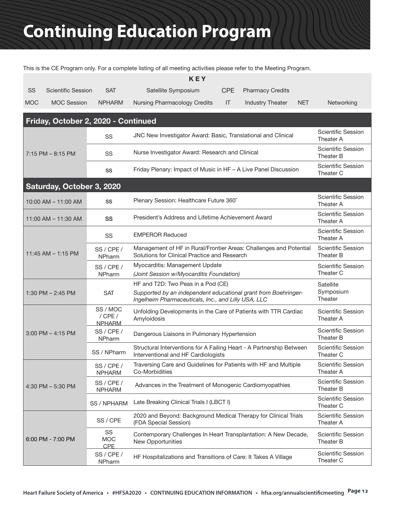This is the CE Program only. For a complete listing of all meeting activities please refer to the Meeting Program.

|            |                                     |                                          | <b>KEY</b>                                                                                                            |                                        |                                        |            |                                        |
|------------|-------------------------------------|------------------------------------------|-----------------------------------------------------------------------------------------------------------------------|----------------------------------------|----------------------------------------|------------|----------------------------------------|
| SS         | <b>Scientific Session</b>           | <b>SAT</b>                               | Satellite Symposium                                                                                                   | <b>CPE</b>                             | <b>Pharmacy Credits</b>                |            |                                        |
| <b>MOC</b> | <b>MOC Session</b>                  | <b>NPHARM</b>                            | <b>Nursing Pharmacology Credits</b>                                                                                   | IT                                     | <b>Industry Theater</b>                | <b>NET</b> | Networking                             |
|            | Friday, October 2, 2020 - Continued |                                          |                                                                                                                       |                                        |                                        |            |                                        |
|            |                                     | SS                                       | JNC New Investigator Award: Basic, Translational and Clinical                                                         | <b>Scientific Session</b><br>Theater A |                                        |            |                                        |
|            | $7:15$ PM $-8:15$ PM                | SS                                       | Nurse Investigator Award: Research and Clinical                                                                       | <b>Scientific Session</b><br>Theater B |                                        |            |                                        |
|            |                                     | SS                                       | Friday Plenary: Impact of Music in HF - A Live Panel Discussion                                                       | <b>Scientific Session</b><br>Theater C |                                        |            |                                        |
|            | Saturday, October 3, 2020           |                                          |                                                                                                                       |                                        |                                        |            |                                        |
|            | 10:00 AM - 11:00 AM                 | SS                                       | Plenary Session: Healthcare Future 360°                                                                               |                                        |                                        |            | <b>Scientific Session</b><br>Theater A |
|            | $11:00$ AM $- 11:30$ AM             | SS                                       | President's Address and Lifetime Achievement Award                                                                    |                                        |                                        |            | <b>Scientific Session</b><br>Theater A |
|            | 11:45 AM $-$ 1:15 PM                | SS                                       | <b>EMPEROR Reduced</b>                                                                                                |                                        |                                        |            | <b>Scientific Session</b><br>Theater A |
|            |                                     | SS / CPE /<br>NPharm                     | Management of HF in Rural/Frontier Areas: Challenges and Potential<br>Solutions for Clinical Practice and Research    |                                        | <b>Scientific Session</b><br>Theater B |            |                                        |
|            |                                     | SS / CPE /<br>NPharm                     | Myocarditis: Management Update<br>(Joint Session w/Myocarditis Foundation)                                            | <b>Scientific Session</b><br>Theater C |                                        |            |                                        |
|            |                                     |                                          | HF and T2D: Two Peas in a Pod (CE)                                                                                    |                                        |                                        |            | Satellite                              |
|            | 1:30 PM $-$ 2:45 PM                 | <b>SAT</b>                               | Supported by an independent educational grant from Boehringer-<br>Ingelheim Pharmaceuticals, Inc., and Lilly USA, LLC | Symposium<br>Theater                   |                                        |            |                                        |
|            | $3:00$ PM $-$ 4:15 PM               | SS / MOC<br>$/$ CPE $/$<br><b>NPHARM</b> | Unfolding Developments in the Care of Patients with TTR Cardiac<br>Amyloidosis                                        |                                        |                                        |            | <b>Scientific Session</b><br>Theater A |
|            |                                     | SS / CPE /<br><b>NPharm</b>              | Dangerous Liaisons in Pulmonary Hypertension                                                                          |                                        |                                        |            | <b>Scientific Session</b><br>Theater B |
|            |                                     | SS / NPharm                              | Structural Interventions for A Failing Heart - A Partnership Between<br>Interventional and HF Cardiologists           |                                        |                                        |            | <b>Scientific Session</b><br>Theater C |
|            | 4:30 PM $-$ 5:30 PM                 | SS / CPE /<br><b>NPHARM</b>              | Traversing Care and Guidelines for Patients with HF and Multiple<br>Co-Morbidities                                    |                                        |                                        |            | <b>Scientific Session</b><br>Theater A |
|            |                                     | SS / CPE /<br><b>NPHARM</b>              | Advances in the Treatment of Monogenic Cardiomyopathies                                                               |                                        |                                        |            | Scientific Session<br>Theater B        |
|            |                                     | SS / NPHARM                              | Late Breaking Clinical Trials I (LBCT I)                                                                              |                                        |                                        |            | Scientific Session<br>Theater C        |
|            | 6:00 PM - 7:00 PM                   | SS / CPE                                 | 2020 and Beyond: Background Medical Therapy for Clinical Trials<br>(FDA Special Session)                              |                                        |                                        |            | Scientific Session<br>Theater A        |
|            |                                     | SS<br><b>MOC</b><br>CPE                  | Contemporary Challenges In Heart Transplantation: A New Decade,<br>New Opportunities                                  |                                        |                                        |            | Scientific Session<br>Theater B        |
|            |                                     | SS / CPE /<br>NPharm                     | HF Hospitalizations and Transitions of Care: It Takes A Village                                                       |                                        |                                        |            | <b>Scientific Session</b><br>Theater C |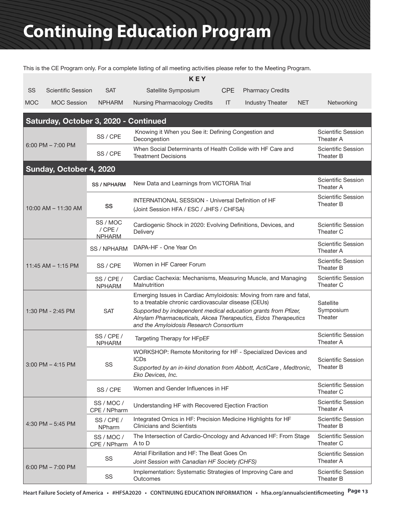This is the CE Program only. For a complete listing of all meeting activities please refer to the Meeting Program.

|            | <b>KEY</b>                            |                                          |                                                                                                                                                                              |                                        |                         |            |                                        |  |
|------------|---------------------------------------|------------------------------------------|------------------------------------------------------------------------------------------------------------------------------------------------------------------------------|----------------------------------------|-------------------------|------------|----------------------------------------|--|
| SS         | <b>Scientific Session</b>             | <b>SAT</b>                               | Satellite Symposium                                                                                                                                                          | <b>CPE</b>                             | <b>Pharmacy Credits</b> |            |                                        |  |
| <b>MOC</b> | <b>MOC Session</b>                    | <b>NPHARM</b>                            | <b>Nursing Pharmacology Credits</b>                                                                                                                                          | IT                                     | <b>Industry Theater</b> | <b>NET</b> | Networking                             |  |
|            | Saturday, October 3, 2020 - Continued |                                          |                                                                                                                                                                              |                                        |                         |            |                                        |  |
|            |                                       | SS / CPE                                 | Knowing it When you See it: Defining Congestion and<br>Decongestion                                                                                                          |                                        |                         |            | <b>Scientific Session</b><br>Theater A |  |
|            | 6:00 PM $- 7:00$ PM                   | SS / CPE                                 | When Social Determinants of Health Collide with HF Care and<br><b>Treatment Decisions</b>                                                                                    | <b>Scientific Session</b><br>Theater B |                         |            |                                        |  |
|            | Sunday, October 4, 2020               |                                          |                                                                                                                                                                              |                                        |                         |            |                                        |  |
|            |                                       | <b>SS / NPHARM</b>                       | New Data and Learnings from VICTORIA Trial                                                                                                                                   |                                        |                         |            | <b>Scientific Session</b><br>Theater A |  |
|            | 10:00 AM - 11:30 AM                   | SS                                       | <b>INTERNATIONAL SESSION - Universal Definition of HF</b><br>(Joint Session HFA / ESC / JHFS / CHFSA)                                                                        | <b>Scientific Session</b><br>Theater B |                         |            |                                        |  |
|            |                                       | SS / MOC<br>$/$ CPE $/$<br><b>NPHARM</b> | Cardiogenic Shock in 2020: Evolving Definitions, Devices, and<br>Delivery                                                                                                    |                                        |                         |            | <b>Scientific Session</b><br>Theater C |  |
|            |                                       | SS / NPHARM                              | DAPA-HF - One Year On                                                                                                                                                        |                                        |                         |            | <b>Scientific Session</b><br>Theater A |  |
|            | 11:45 AM - 1:15 PM                    | SS / CPE                                 | Women in HF Career Forum                                                                                                                                                     |                                        |                         |            | <b>Scientific Session</b><br>Theater B |  |
|            |                                       | SS / CPE /<br><b>NPHARM</b>              | Cardiac Cachexia: Mechanisms, Measuring Muscle, and Managing<br>Malnutrition                                                                                                 |                                        |                         |            | <b>Scientific Session</b><br>Theater C |  |
|            |                                       |                                          | Emerging Issues in Cardiac Amyloidosis: Moving from rare and fatal,<br>to a treatable chronic cardiovascular disease (CEUs)                                                  |                                        |                         |            | Satellite                              |  |
|            | 1:30 PM - 2:45 PM                     | <b>SAT</b>                               | Supported by independent medical education grants from Pfizer,<br>Alnylam Pharmaceuticals, Akcea Therapeutics, Eidos Therapeutics<br>and the Amyloidosis Research Consortium |                                        |                         |            | Symposium<br>Theater                   |  |
|            |                                       | SS / CPE /<br><b>NPHARM</b>              | Targeting Therapy for HFpEF                                                                                                                                                  |                                        |                         |            | <b>Scientific Session</b><br>Theater A |  |
|            |                                       | SS<br>3:00 PM - 4:15 PM                  | WORKSHOP: Remote Monitoring for HF - Specialized Devices and<br><b>ICDs</b>                                                                                                  |                                        |                         |            | <b>Scientific Session</b>              |  |
|            |                                       |                                          | Supported by an in-kind donation from Abbott, ActiCare, Medtronic,<br>Eko Devices, Inc.                                                                                      |                                        |                         |            | Theater B                              |  |
|            |                                       | SS / CPE                                 | Women and Gender Influences in HF                                                                                                                                            |                                        |                         |            | Scientific Session<br>Theater C        |  |
|            | 4:30 PM $-$ 5:45 PM                   | SS/MOC/<br>CPE / NPharm                  | Understanding HF with Recovered Ejection Fraction                                                                                                                            |                                        |                         |            | Scientific Session<br>Theater A        |  |
|            |                                       | SS / CPE /<br>NPharm                     | Integrated Omics in HF: Precision Medicine Highlights for HF<br><b>Clinicians and Scientists</b>                                                                             |                                        |                         |            | Scientific Session<br>Theater B        |  |
|            |                                       | SS / MOC /<br>CPE / NPharm               | The Intersection of Cardio-Oncology and Advanced HF: From Stage<br>A to D                                                                                                    |                                        |                         |            | <b>Scientific Session</b><br>Theater C |  |
|            |                                       | SS                                       | Atrial Fibrillation and HF: The Beat Goes On<br>Joint Session with Canadian HF Society (CHFS)                                                                                |                                        |                         |            | <b>Scientific Session</b><br>Theater A |  |
|            | $6:00$ PM $- 7:00$ PM                 | SS                                       | Implementation: Systematic Strategies of Improving Care and<br>Outcomes                                                                                                      |                                        |                         |            | <b>Scientific Session</b><br>Theater B |  |

**Heart Failure Society of America • #HFSA2020 • CONTINUING EDUCATION INFORMATION • hfsa.org/annualscientificmeeting Page 13**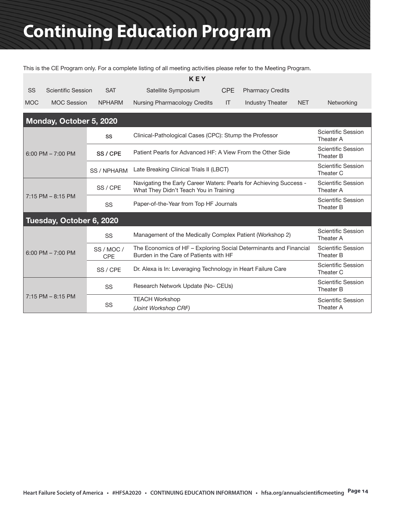This is the CE Program only. For a complete listing of all meeting activities please refer to the Meeting Program.

| KEY        |                    |               |                              |     |                         |            |            |
|------------|--------------------|---------------|------------------------------|-----|-------------------------|------------|------------|
| SS         | Scientific Session | <b>SAT</b>    | Satellite Symposium          |     | CPE Pharmacy Credits    |            |            |
| <b>MOC</b> | <b>MOC Session</b> | <b>NPHARM</b> | Nursing Pharmacology Credits | -IT | <b>Industry Theater</b> | <b>NET</b> | Networking |

| Monday, October 5, 2020 |                          |                                                                                                              |                                        |  |  |  |  |  |
|-------------------------|--------------------------|--------------------------------------------------------------------------------------------------------------|----------------------------------------|--|--|--|--|--|
|                         | SS                       | Clinical-Pathological Cases (CPC): Stump the Professor                                                       | <b>Scientific Session</b><br>Theater A |  |  |  |  |  |
| $6:00$ PM $- 7:00$ PM   | SS / CPE                 | Patient Pearls for Advanced HF: A View From the Other Side                                                   | <b>Scientific Session</b><br>Theater B |  |  |  |  |  |
|                         | <b>SS / NPHARM</b>       | Late Breaking Clinical Trials II (LBCT)                                                                      | <b>Scientific Session</b><br>Theater C |  |  |  |  |  |
|                         | SS / CPE                 | Navigating the Early Career Waters: Pearls for Achieving Success -<br>What They Didn't Teach You in Training | <b>Scientific Session</b><br>Theater A |  |  |  |  |  |
| $7:15$ PM $-$ 8:15 PM   | SS                       | Paper-of-the-Year from Top HF Journals                                                                       | <b>Scientific Session</b><br>Theater B |  |  |  |  |  |
|                         | Tuesday, October 6, 2020 |                                                                                                              |                                        |  |  |  |  |  |
|                         | SS                       | Management of the Medically Complex Patient (Workshop 2)                                                     | <b>Scientific Session</b><br>Theater A |  |  |  |  |  |
| $6:00$ PM $- 7:00$ PM   | SS/MOC/<br><b>CPE</b>    | The Economics of HF - Exploring Social Determinants and Financial<br>Burden in the Care of Patients with HF  | <b>Scientific Session</b><br>Theater B |  |  |  |  |  |
|                         | SS / CPE                 | Dr. Alexa is In: Leveraging Technology in Heart Failure Care                                                 | <b>Scientific Session</b><br>Theater C |  |  |  |  |  |
|                         | SS                       | Research Network Update (No- CEUs)                                                                           | <b>Scientific Session</b><br>Theater B |  |  |  |  |  |
| $7:15$ PM $-$ 8:15 PM   | SS                       | <b>TEACH Workshop</b><br>(Joint Workshop CRF)                                                                | Scientific Session<br>Theater A        |  |  |  |  |  |